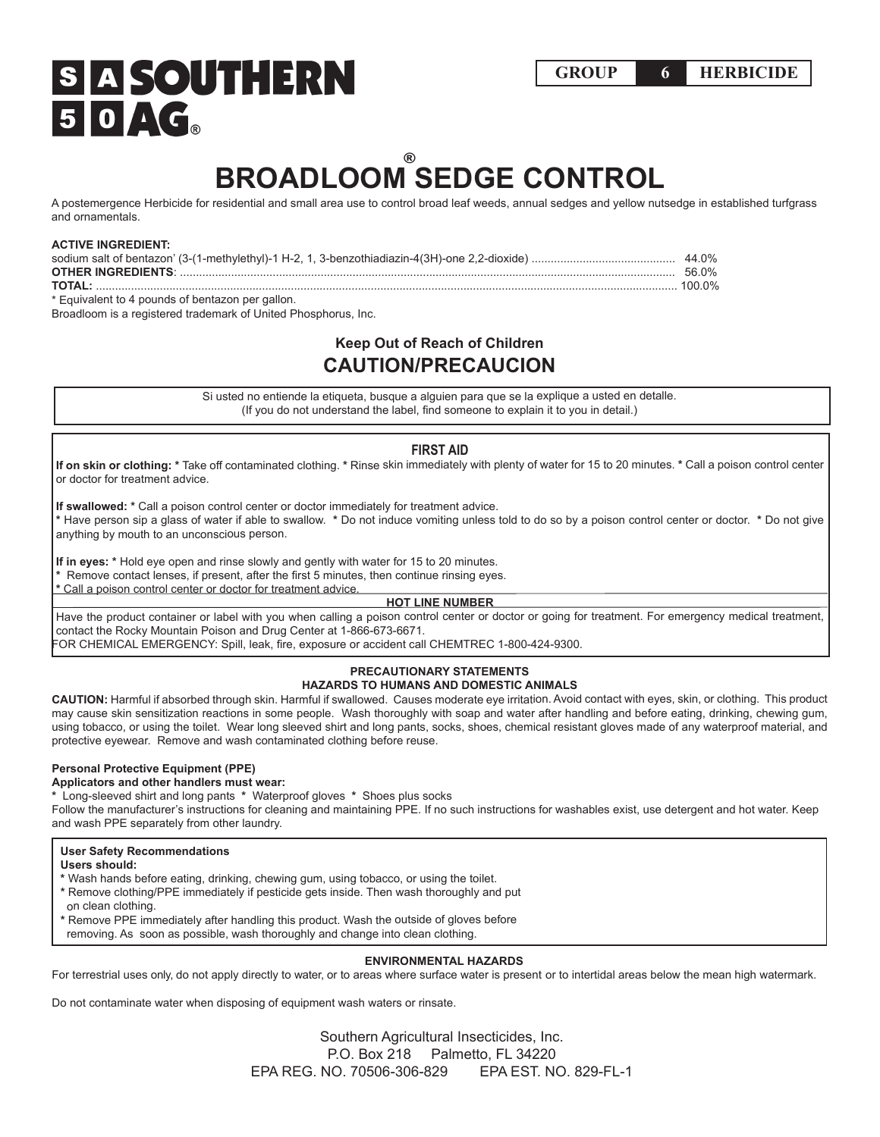# **BROADLOOM SEDGE CONTROL** ®

A postemergence Herbicide for residential and small area use to control broad leaf weeds, annual sedges and yellow nutsedge in established turfgrass and ornamentals.

### **ACTIVE INGREDIENT:**

|                                                  | 44 በ% |
|--------------------------------------------------|-------|
|                                                  | 56.0% |
|                                                  |       |
| * Faujvalent to 4 pounds of bentazon per gallon. |       |

Broadloom is a registered trademark of United Phosphorus, Inc.

# **Keep Out of Reach of Children CAUTION/PRECAUCION**

Si usted no entiende la etiqueta, busque a alguien para que se la explique a usted en detalle. (If you do not understand the label, find someone to explain it to you in detail.)

## **FIRST AID**

**If on skin or clothing: \*** Take off contaminated clothing. **\*** Rinse skin immediately with plenty of water for 15 to 20 minutes. **\*** Call a poison control center or doctor for treatment advice.

**If swallowed: \*** Call a poison control center or doctor immediately for treatment advice. **\*** Have person sip a glass of water if able to swallow. **\*** Do not induce vomiting unless told to do so by a poison control center or doctor. **\*** Do not give anything by mouth to an unconscious person.

**If in eyes: \*** Hold eye open and rinse slowly and gently with water for 15 to 20 minutes.

**\*** Remove contact lenses, if present, after the first 5 minutes, then continue rinsing eyes.

**\*** Call a poison control center or doctor for treatment advice.

#### **HOT LINE NUMBER**

Have the product container or label with you when calling a poison control center or doctor or going for treatment. For emergency medical treatment, contact the Rocky Mountain Poison and Drug Center at 1-866-673-6671.

FOR CHEMICAL EMERGENCY: Spill, leak, fire, exposure or accident call CHEMTREC 1-800-424-9300.

#### **PRECAUTIONARY STATEMENTS HAZARDS TO HUMANS AND DOMESTIC ANIMALS**

**CAUTION:** Harmful if absorbed through skin. Harmful if swallowed. Causes moderate eye irritation. Avoid contact with eyes, skin, or clothing. This product may cause skin sensitization reactions in some people. Wash thoroughly with soap and water after handling and before eating, drinking, chewing gum, using tobacco, or using the toilet. Wear long sleeved shirt and long pants, socks, shoes, chemical resistant gloves made of any waterproof material, and protective eyewear. Remove and wash contaminated clothing before reuse.

### **Personal Protective Equipment (PPE)**

**Applicators and other handlers must wear:**

**\*** Long-sleeved shirt and long pants **\*** Waterproof gloves **\*** Shoes plus socks

Follow the manufacturer's instructions for cleaning and maintaining PPE. If no such instructions for washables exist, use detergent and hot water. Keep and wash PPE separately from other laundry.

## **User Safety Recommendations**

**Users should:** 

- **\*** Wash hands before eating, drinking, chewing gum, using tobacco, or using the toilet.
- **\*** Remove clothing/PPE immediately if pesticide gets inside. Then wash thoroughly and put
- on clean clothing.
- **\*** Remove PPE immediately after handling this product. Wash the outside of gloves before
- removing. As soon as possible, wash thoroughly and change into clean clothing.

#### **ENVIRONMENTAL HAZARDS**

For terrestrial uses only, do not apply directly to water, or to areas where surface water is present or to intertidal areas below the mean high watermark.

Do not contaminate water when disposing of equipment wash waters or rinsate.

 Southern Agricultural Insecticides, Inc. P.O. Box 218 Palmetto, FL 34220 EPA REG. NO. 70506-306-829 EPA EST. NO. 829-FL-1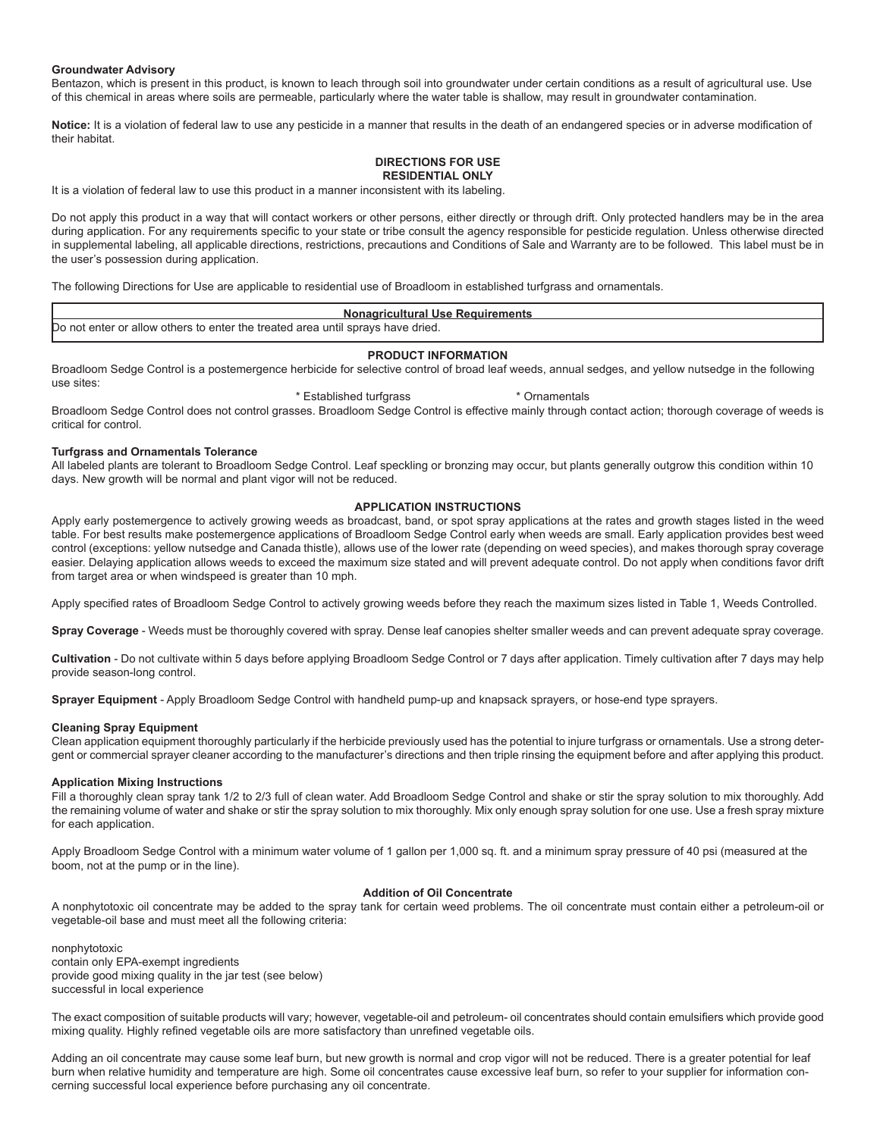#### **Groundwater Advisory**

Bentazon, which is present in this product, is known to leach through soil into groundwater under certain conditions as a result of agricultural use. Use of this chemical in areas where soils are permeable, particularly where the water table is shallow, may result in groundwater contamination.

**Notice:** It is a violation of federal law to use any pesticide in a manner that results in the death of an endangered species or in adverse modification of their habitat.

#### **DIRECTIONS FOR USE RESIDENTIAL ONLY**

It is a violation of federal law to use this product in a manner inconsistent with its labeling.

Do not apply this product in a way that will contact workers or other persons, either directly or through drift. Only protected handlers may be in the area during application. For any requirements specific to your state or tribe consult the agency responsible for pesticide regulation. Unless otherwise directed in supplemental labeling, all applicable directions, restrictions, precautions and Conditions of Sale and Warranty are to be followed. This label must be in the user's possession during application.

The following Directions for Use are applicable to residential use of Broadloom in established turfgrass and ornamentals.

# **Nonagricultural Use Requirements** Do not enter or allow others to enter the treated area until sprays have dried.

#### **PRODUCT INFORMATION**

Broadloom Sedge Control is a postemergence herbicide for selective control of broad leaf weeds, annual sedges, and yellow nutsedge in the following use sites:

#### \* Established turfgrass \* \* Ornamentals

Broadloom Sedge Control does not control grasses. Broadloom Sedge Control is effective mainly through contact action; thorough coverage of weeds is critical for control.

#### **Turfgrass and Ornamentals Tolerance**

All labeled plants are tolerant to Broadloom Sedge Control. Leaf speckling or bronzing may occur, but plants generally outgrow this condition within 10 days. New growth will be normal and plant vigor will not be reduced.

#### **APPLICATION INSTRUCTIONS**

Apply early postemergence to actively growing weeds as broadcast, band, or spot spray applications at the rates and growth stages listed in the weed table. For best results make postemergence applications of Broadloom Sedge Control early when weeds are small. Early application provides best weed control (exceptions: yellow nutsedge and Canada thistle), allows use of the lower rate (depending on weed species), and makes thorough spray coverage easier. Delaying application allows weeds to exceed the maximum size stated and will prevent adequate control. Do not apply when conditions favor drift from target area or when windspeed is greater than 10 mph.

Apply specified rates of Broadloom Sedge Control to actively growing weeds before they reach the maximum sizes listed in Table 1, Weeds Controlled.

**Spray Coverage** - Weeds must be thoroughly covered with spray. Dense leaf canopies shelter smaller weeds and can prevent adequate spray coverage.

**Cultivation** - Do not cultivate within 5 days before applying Broadloom Sedge Control or 7 days after application. Timely cultivation after 7 days may help provide season-long control.

**Sprayer Equipment** - Apply Broadloom Sedge Control with handheld pump-up and knapsack sprayers, or hose-end type sprayers.

#### **Cleaning Spray Equipment**

Clean application equipment thoroughly particularly if the herbicide previously used has the potential to injure turfgrass or ornamentals. Use a strong detergent or commercial sprayer cleaner according to the manufacturer's directions and then triple rinsing the equipment before and after applying this product.

#### **Application Mixing Instructions**

Fill a thoroughly clean spray tank 1/2 to 2/3 full of clean water. Add Broadloom Sedge Control and shake or stir the spray solution to mix thoroughly. Add the remaining volume of water and shake or stir the spray solution to mix thoroughly. Mix only enough spray solution for one use. Use a fresh spray mixture for each application.

Apply Broadloom Sedge Control with a minimum water volume of 1 gallon per 1,000 sq. ft. and a minimum spray pressure of 40 psi (measured at the boom, not at the pump or in the line).

### **Addition of Oil Concentrate**

A nonphytotoxic oil concentrate may be added to the spray tank for certain weed problems. The oil concentrate must contain either a petroleum-oil or vegetable-oil base and must meet all the following criteria:

nonphytotoxic contain only EPA-exempt ingredients provide good mixing quality in the jar test (see below) successful in local experience

The exact composition of suitable products will vary; however, vegetable-oil and petroleum- oil concentrates should contain emulsifiers which provide good mixing quality. Highly refined vegetable oils are more satisfactory than unrefined vegetable oils.

Adding an oil concentrate may cause some leaf burn, but new growth is normal and crop vigor will not be reduced. There is a greater potential for leaf burn when relative humidity and temperature are high. Some oil concentrates cause excessive leaf burn, so refer to your supplier for information concerning successful local experience before purchasing any oil concentrate.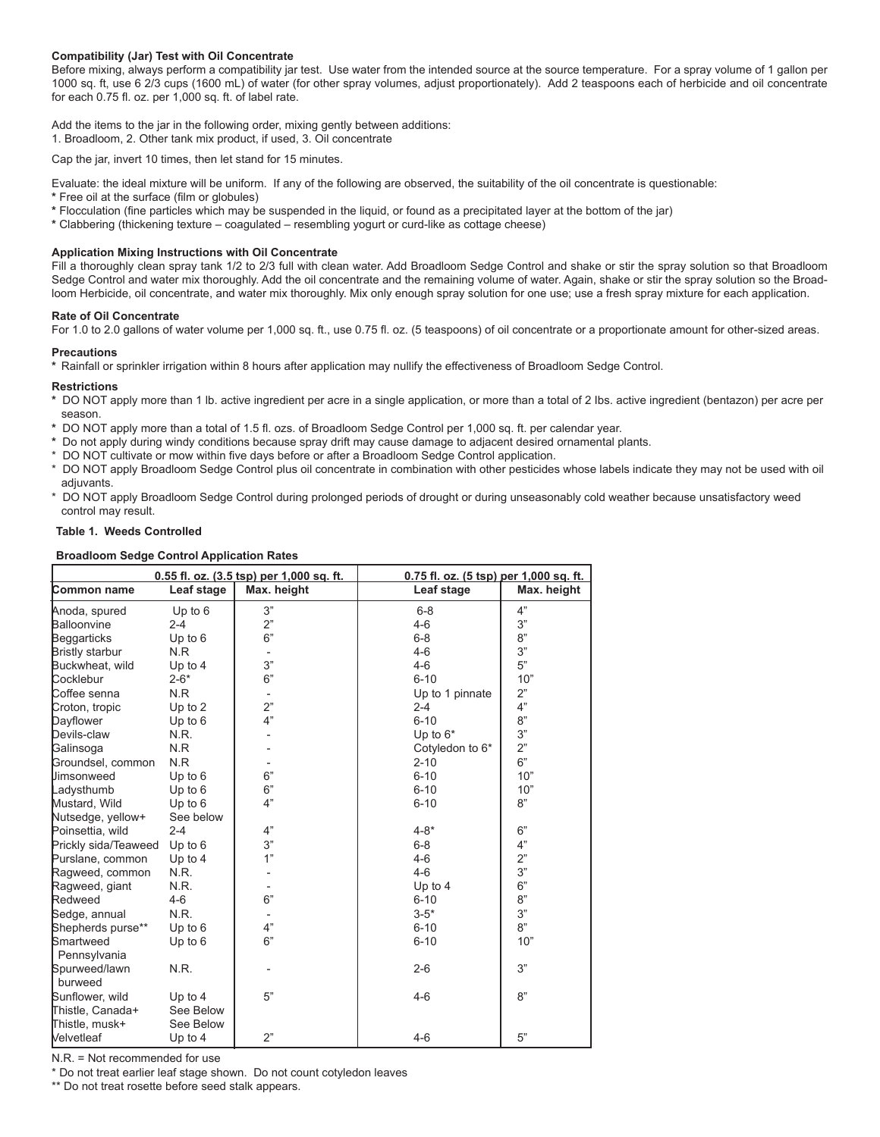#### **Compatibility (Jar) Test with Oil Concentrate**

Before mixing, always perform a compatibility jar test. Use water from the intended source at the source temperature. For a spray volume of 1 gallon per 1000 sq. ft, use 6 2/3 cups (1600 mL) of water (for other spray volumes, adjust proportionately). Add 2 teaspoons each of herbicide and oil concentrate for each 0.75 fl. oz. per 1,000 sq. ft. of label rate.

Add the items to the jar in the following order, mixing gently between additions:

1. Broadloom, 2. Other tank mix product, if used, 3. Oil concentrate

Cap the jar, invert 10 times, then let stand for 15 minutes.

Evaluate: the ideal mixture will be uniform. If any of the following are observed, the suitability of the oil concentrate is questionable:

**\*** Free oil at the surface (film or globules)

- **\*** Flocculation (fine particles which may be suspended in the liquid, or found as a precipitated layer at the bottom of the jar)
- **\*** Clabbering (thickening texture coagulated resembling yogurt or curd-like as cottage cheese)

#### **Application Mixing Instructions with Oil Concentrate**

Fill a thoroughly clean spray tank 1/2 to 2/3 full with clean water. Add Broadloom Sedge Control and shake or stir the spray solution so that Broadloom Sedge Control and water mix thoroughly. Add the oil concentrate and the remaining volume of water. Again, shake or stir the spray solution so the Broadloom Herbicide, oil concentrate, and water mix thoroughly. Mix only enough spray solution for one use; use a fresh spray mixture for each application.

#### **Rate of Oil Concentrate**

For 1.0 to 2.0 gallons of water volume per 1,000 sq. ft., use 0.75 fl. oz. (5 teaspoons) of oil concentrate or a proportionate amount for other-sized areas.

#### **Precautions**

**\*** Rainfall or sprinkler irrigation within 8 hours after application may nullify the effectiveness of Broadloom Sedge Control.

#### **Restrictions**

- **\*** DO NOT apply more than 1 lb. active ingredient per acre in a single application, or more than a total of 2 Ibs. active ingredient (bentazon) per acre per season.
- **\*** DO NOT apply more than a total of 1.5 fl. ozs. of Broadloom Sedge Control per 1,000 sq. ft. per calendar year.
- **\*** Do not apply during windy conditions because spray drift may cause damage to adjacent desired ornamental plants.
- DO NOT cultivate or mow within five days before or after a Broadloom Sedge Control application.
- \* DO NOT apply Broadloom Sedge Control plus oil concentrate in combination with other pesticides whose labels indicate they may not be used with oil adjuvants.
- \* DO NOT apply Broadloom Sedge Control during prolonged periods of drought or during unseasonably cold weather because unsatisfactory weed control may result.

#### **Table 1. Weeds Controlled**

#### **Broadloom Sedge Control Application Rates**

| 0.55 fl. oz. (3.5 tsp) per 1,000 sq. ft. |            | 0.75 fl. oz. (5 tsp) per 1,000 sq. ft. |                 |             |
|------------------------------------------|------------|----------------------------------------|-----------------|-------------|
| Common name                              | Leaf stage | Max. height                            | Leaf stage      | Max. height |
| Anoda, spured                            | Up to $6$  | 3"                                     | $6 - 8$         | 4"          |
| Balloonvine                              | $2 - 4$    | 2"                                     | $4 - 6$         | 3"          |
| Beggarticks                              | Up to $6$  | 6"                                     | $6 - 8$         | 8"          |
| Bristly starbur                          | N.R        |                                        | $4 - 6$         | 3"          |
| Buckwheat, wild                          | Up to 4    | 3"                                     | $4 - 6$         | 5"          |
| Cocklebur                                | $2 - 6*$   | 6"                                     | $6 - 10$        | 10"         |
| Coffee senna                             | N.R        |                                        | Up to 1 pinnate | 2"          |
| Croton, tropic                           | Up to $2$  | 2"                                     | $2 - 4$         | 4"          |
| Dayflower                                | Up to 6    | 4"                                     | $6 - 10$        | 8"          |
| Devils-claw                              | N.R.       |                                        | Up to $6*$      | 3"          |
| Galinsoga                                | N.R        |                                        | Cotyledon to 6* | 2"          |
| Groundsel, common                        | N.R        |                                        | $2 - 10$        | 6"          |
| <b>Uimsonweed</b>                        | Up to $6$  | 6"                                     | $6 - 10$        | 10"         |
| Ladysthumb                               | Up to 6    | 6"                                     | $6 - 10$        | 10"         |
| Mustard, Wild                            | Up to 6    | 4"                                     | $6 - 10$        | 8"          |
| Nutsedge, yellow+                        | See below  |                                        |                 |             |
| Poinsettia, wild                         | $2 - 4$    | 4"                                     | $4 - 8*$        | 6"          |
| Prickly sida/Teaweed                     | Up to $6$  | 3"                                     | $6 - 8$         | 4"          |
| Purslane, common                         | Up to 4    | 1"                                     | $4 - 6$         | 2"          |
| Ragweed, common                          | N.R.       |                                        | $4 - 6$         | 3"          |
| Ragweed, giant                           | N.R.       |                                        | Up to 4         | 6"          |
| Redweed                                  | $4 - 6$    | 6"                                     | $6 - 10$        | 8"          |
| Sedge, annual                            | N.R.       |                                        | $3 - 5*$        | 3"          |
| Shepherds purse**                        | Up to 6    | 4"                                     | $6 - 10$        | 8"          |
| Smartweed<br>Pennsylvania                | Up to $6$  | 6"                                     | $6 - 10$        | 10"         |
| Spurweed/lawn<br>burweed                 | N.R.       |                                        | $2 - 6$         | 3"          |
| Sunflower, wild                          | Up to $4$  | 5"                                     | $4 - 6$         | 8"          |
| Thistle, Canada+                         | See Below  |                                        |                 |             |
| Thistle, musk+                           | See Below  |                                        |                 |             |
| Velvetleaf                               | Up to $4$  | 2"                                     | $4 - 6$         | 5"          |

 $N.R = Not recommended for use$ 

\* Do not treat earlier leaf stage shown. Do not count cotyledon leaves

\*\* Do not treat rosette before seed stalk appears.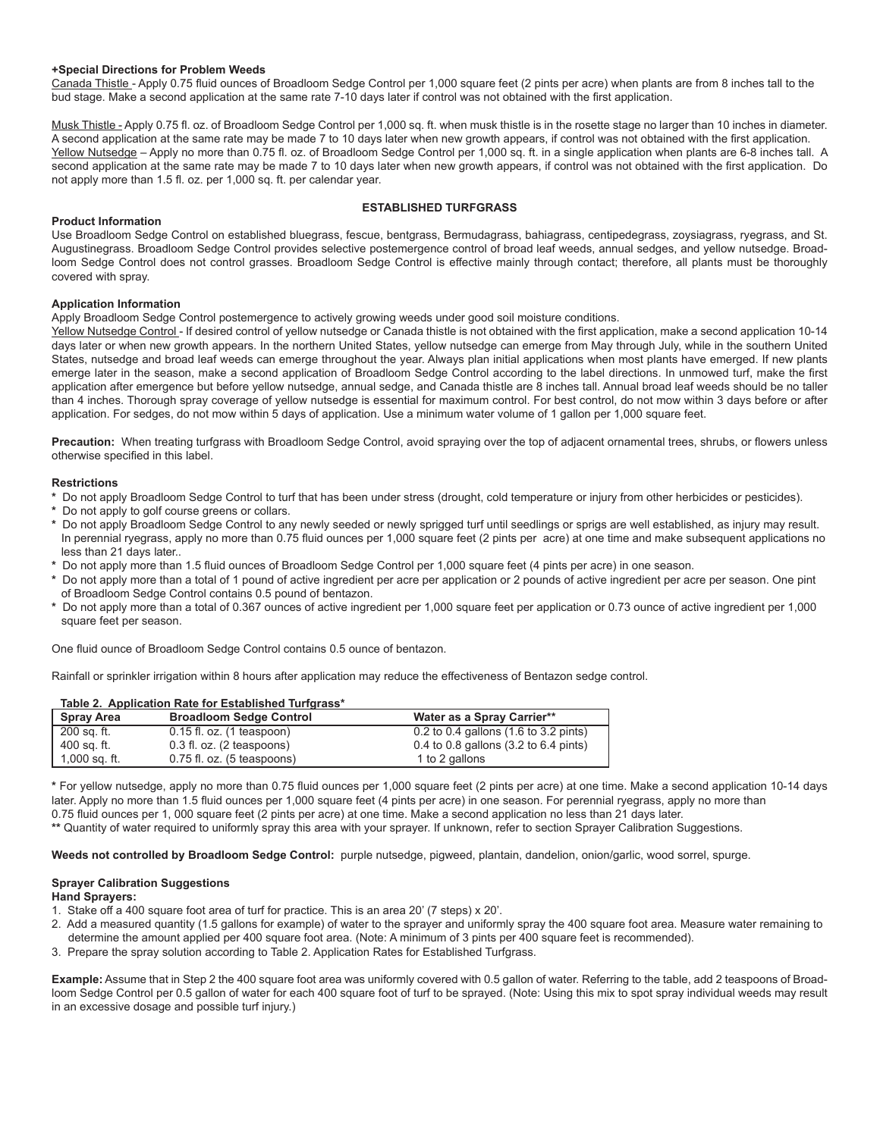#### **+Special Directions for Problem Weeds**

Canada Thistle - Apply 0.75 fluid ounces of Broadloom Sedge Control per 1,000 square feet (2 pints per acre) when plants are from 8 inches tall to the bud stage. Make a second application at the same rate 7-10 days later if control was not obtained with the first application.

Musk Thistle - Apply 0.75 fl. oz. of Broadloom Sedge Control per 1,000 sq. ft. when musk thistle is in the rosette stage no larger than 10 inches in diameter. A second application at the same rate may be made 7 to 10 days later when new growth appears, if control was not obtained with the first application. Yellow Nutsedge – Apply no more than 0.75 fl. oz. of Broadloom Sedge Control per 1,000 sq. ft. in a single application when plants are 6-8 inches tall. A second application at the same rate may be made 7 to 10 days later when new growth appears, if control was not obtained with the first application. Do not apply more than 1.5 fl. oz. per 1,000 sq. ft. per calendar year.

#### **ESTABLISHED TURFGRASS**

#### **Product Information**

Use Broadloom Sedge Control on established bluegrass, fescue, bentgrass, Bermudagrass, bahiagrass, centipedegrass, zoysiagrass, ryegrass, and St. Augustinegrass. Broadloom Sedge Control provides selective postemergence control of broad leaf weeds, annual sedges, and yellow nutsedge. Broadloom Sedge Control does not control grasses. Broadloom Sedge Control is effective mainly through contact; therefore, all plants must be thoroughly covered with spray.

#### **Application Information**

Apply Broadloom Sedge Control postemergence to actively growing weeds under good soil moisture conditions.

Yellow Nutsedge Control - If desired control of yellow nutsedge or Canada thistle is not obtained with the first application, make a second application 10-14 days later or when new growth appears. In the northern United States, yellow nutsedge can emerge from May through July, while in the southern United States, nutsedge and broad leaf weeds can emerge throughout the year. Always plan initial applications when most plants have emerged. If new plants emerge later in the season, make a second application of Broadloom Sedge Control according to the label directions. In unmowed turf, make the first application after emergence but before yellow nutsedge, annual sedge, and Canada thistle are 8 inches tall. Annual broad leaf weeds should be no taller than 4 inches. Thorough spray coverage of yellow nutsedge is essential for maximum control. For best control, do not mow within 3 days before or after application. For sedges, do not mow within 5 days of application. Use a minimum water volume of 1 gallon per 1,000 square feet.

**Precaution:** When treating turfgrass with Broadloom Sedge Control, avoid spraying over the top of adjacent ornamental trees, shrubs, or flowers unless otherwise specified in this label.

#### **Restrictions**

**\*** Do not apply Broadloom Sedge Control to turf that has been under stress (drought, cold temperature or injury from other herbicides or pesticides).

- **\*** Do not apply to golf course greens or collars.
- **\*** Do not apply Broadloom Sedge Control to any newly seeded or newly sprigged turf until seedlings or sprigs are well established, as injury may result. In perennial ryegrass, apply no more than 0.75 fluid ounces per 1,000 square feet (2 pints per acre) at one time and make subsequent applications no less than 21 days later..
- **\*** Do not apply more than 1.5 fluid ounces of Broadloom Sedge Control per 1,000 square feet (4 pints per acre) in one season.
- **\*** Do not apply more than a total of 1 pound of active ingredient per acre per application or 2 pounds of active ingredient per acre per season. One pint of Broadloom Sedge Control contains 0.5 pound of bentazon.
- **\*** Do not apply more than a total of 0.367 ounces of active ingredient per 1,000 square feet per application or 0.73 ounce of active ingredient per 1,000 square feet per season.

One fluid ounce of Broadloom Sedge Control contains 0.5 ounce of bentazon.

Rainfall or sprinkler irrigation within 8 hours after application may reduce the effectiveness of Bentazon sedge control.

|                   | Table 2. Application Rate for Established Turfgrass* |                                                          |
|-------------------|------------------------------------------------------|----------------------------------------------------------|
| <b>Spray Area</b> | <b>Broadloom Sedge Control</b>                       | Water as a Spray Carrier**                               |
| 200 sq. ft.       | $0.15$ fl. oz. $(1 \text{ tespoon})$                 | $0.2$ to 0.4 gallons (1.6 to 3.2 pints)                  |
| 400 sq. ft.       | $0.3$ fl. oz. $(2 \text{ tensors})$                  | 0.4 to 0.8 gallons $(3.2 \text{ to } 6.4 \text{ pints})$ |
| $1,000$ sq. ft.   | $0.75$ fl. oz. $(5 \text{ tensors})$                 | 1 to 2 gallons                                           |

**\*** For yellow nutsedge, apply no more than 0.75 fluid ounces per 1,000 square feet (2 pints per acre) at one time. Make a second application 10-14 days later. Apply no more than 1.5 fluid ounces per 1,000 square feet (4 pints per acre) in one season. For perennial ryegrass, apply no more than 0.75 fluid ounces per 1, 000 square feet (2 pints per acre) at one time. Make a second application no less than 21 days later. **\*\*** Quantity of water required to uniformly spray this area with your sprayer. If unknown, refer to section Sprayer Calibration Suggestions.

**Weeds not controlled by Broadloom Sedge Control:** purple nutsedge, pigweed, plantain, dandelion, onion/garlic, wood sorrel, spurge.

#### **Sprayer Calibration Suggestions**

**Hand Sprayers:**

- 1. Stake off a 400 square foot area of turf for practice. This is an area 20' (7 steps) x 20'.
- 2. Add a measured quantity (1.5 gallons for example) of water to the sprayer and uniformly spray the 400 square foot area. Measure water remaining to determine the amount applied per 400 square foot area. (Note: A minimum of 3 pints per 400 square feet is recommended).
- 3. Prepare the spray solution according to Table 2. Application Rates for Established Turfgrass.

**Example:** Assume that in Step 2 the 400 square foot area was uniformly covered with 0.5 gallon of water. Referring to the table, add 2 teaspoons of Broadloom Sedge Control per 0.5 gallon of water for each 400 square foot of turf to be sprayed. (Note: Using this mix to spot spray individual weeds may result in an excessive dosage and possible turf injury.)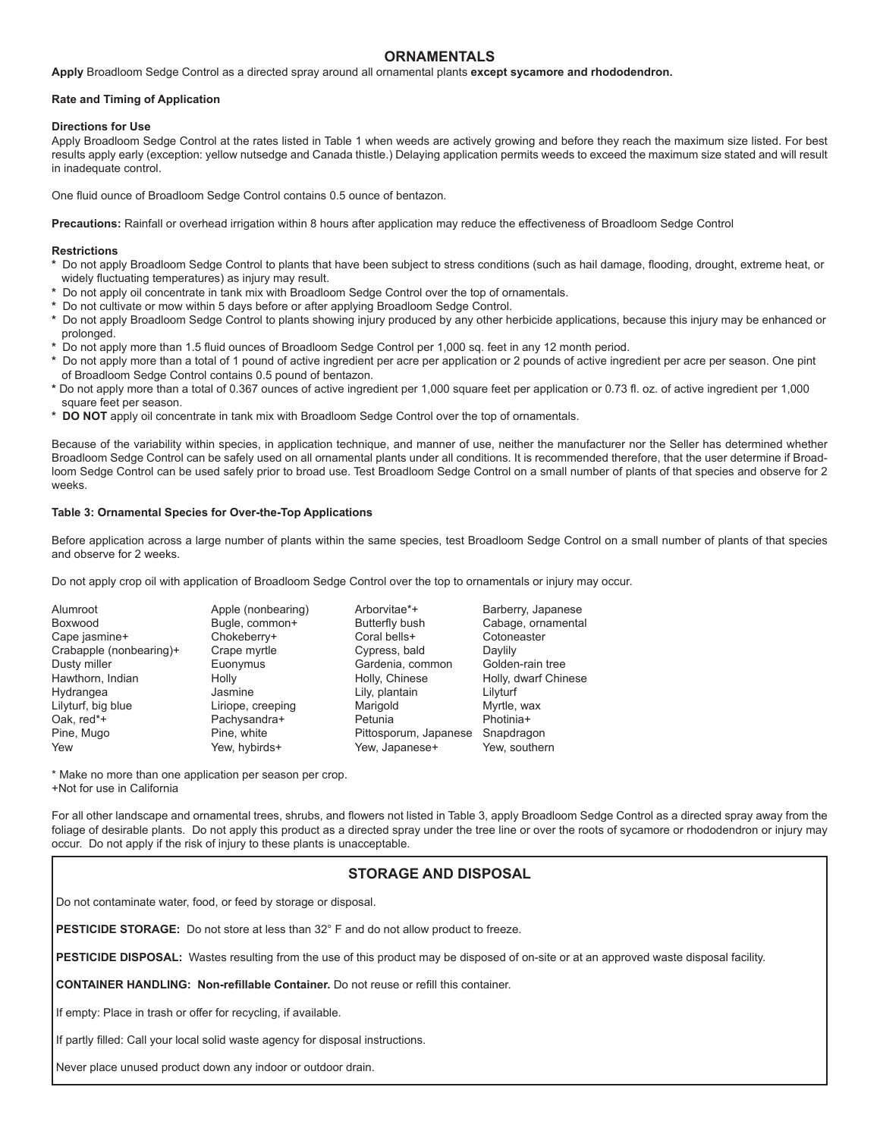### **ORNAMENTALS**

**Apply** Broadloom Sedge Control as a directed spray around all ornamental plants **except sycamore and rhododendron.**

#### **Rate and Timing of Application**

#### **Directions for Use**

Apply Broadloom Sedge Control at the rates listed in Table 1 when weeds are actively growing and before they reach the maximum size listed. For best results apply early (exception: yellow nutsedge and Canada thistle.) Delaying application permits weeds to exceed the maximum size stated and will result in inadequate control.

One fluid ounce of Broadloom Sedge Control contains 0.5 ounce of bentazon.

**Precautions:** Rainfall or overhead irrigation within 8 hours after application may reduce the effectiveness of Broadloom Sedge Control

#### **Restrictions**

- **\*** Do not apply Broadloom Sedge Control to plants that have been subject to stress conditions (such as hail damage, flooding, drought, extreme heat, or widely fluctuating temperatures) as injury may result.
- **\*** Do not apply oil concentrate in tank mix with Broadloom Sedge Control over the top of ornamentals.
- **\*** Do not cultivate or mow within 5 days before or after applying Broadloom Sedge Control.
- **\*** Do not apply Broadloom Sedge Control to plants showing injury produced by any other herbicide applications, because this injury may be enhanced or prolonged.
- **\*** Do not apply more than 1.5 fluid ounces of Broadloom Sedge Control per 1,000 sq. feet in any 12 month period.
- **\*** Do not apply more than a total of 1 pound of active ingredient per acre per application or 2 pounds of active ingredient per acre per season. One pint of Broadloom Sedge Control contains 0.5 pound of bentazon.
- **\*** Do not apply more than a total of 0.367 ounces of active ingredient per 1,000 square feet per application or 0.73 fl. oz. of active ingredient per 1,000 square feet per season.
- **\* DO NOT** apply oil concentrate in tank mix with Broadloom Sedge Control over the top of ornamentals.

Because of the variability within species, in application technique, and manner of use, neither the manufacturer nor the Seller has determined whether Broadloom Sedge Control can be safely used on all ornamental plants under all conditions. It is recommended therefore, that the user determine if Broadloom Sedge Control can be used safely prior to broad use. Test Broadloom Sedge Control on a small number of plants of that species and observe for 2 weeks.

#### **Table 3: Ornamental Species for Over-the-Top Applications**

Before application across a large number of plants within the same species, test Broadloom Sedge Control on a small number of plants of that species and observe for 2 weeks.

Do not apply crop oil with application of Broadloom Sedge Control over the top to ornamentals or injury may occur.

| Alumroot                |
|-------------------------|
| <b>Boxwood</b>          |
| Cape jasmine+           |
| Crabapple (nonbearing)+ |
| Dusty miller            |
| Hawthorn, Indian        |
| Hydrangea               |
| Lilyturf, big blue      |
| Oak, red*+              |
| Pine, Mugo              |
| Yew                     |

Chokeberry+ Liriope, creeping

Apple (nonbearing) Arborvitae\*+ Barberry, Japanese Bugle, common+ Butterfly bush Cabage, ornamental<br>Chokeberry+ Coral bells+ Cotoneaster Crabapple (nonbearing)+ Crape myrtle Cypress, bald Daylily Gardenia, common Holly Holly, Chinese Holly, dwarf Chinese Hydrangea Jasmine Lily, plantain Lilyturf Pachysandra+ Petunia Photinia+ Pine, white **Pittosporum, Japanese Snapdragon** Yew, hybirds+ Yew, Japanese+ Yew, southern

\* Make no more than one application per season per crop. +Not for use in California

For all other landscape and ornamental trees, shrubs, and flowers not listed in Table 3, apply Broadloom Sedge Control as a directed spray away from the foliage of desirable plants. Do not apply this product as a directed spray under the tree line or over the roots of sycamore or rhododendron or injury may occur. Do not apply if the risk of injury to these plants is unacceptable.

# **STORAGE AND DISPOSAL**

Do not contaminate water, food, or feed by storage or disposal.

**PESTICIDE STORAGE:** Do not store at less than 32° F and do not allow product to freeze.

**PESTICIDE DISPOSAL:** Wastes resulting from the use of this product may be disposed of on-site or at an approved waste disposal facility.

**CONTAINER HANDLING: Non-refillable Container.** Do not reuse or refill this container.

If empty: Place in trash or offer for recycling, if available.

If partly filled: Call your local solid waste agency for disposal instructions.

Never place unused product down any indoor or outdoor drain.